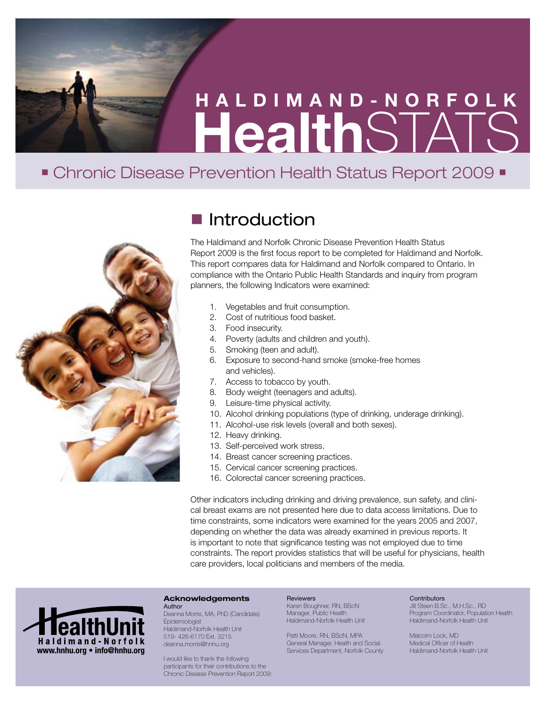# **Health**STATS **HALDIMAND-NORFOLK**

# • Chronic Disease Prevention Health Status Report 2009 ·



# $\blacksquare$  Introduction

The Haldimand and Norfolk Chronic Disease Prevention Health Status Report 2009 is the first focus report to be completed for Haldimand and Norfolk. This report compares data for Haldimand and Norfolk compared to Ontario. In compliance with the Ontario Public Health Standards and inquiry from program planners, the following Indicators were examined:

- 1. Vegetables and fruit consumption.
- 2. Cost of nutritious food basket.
- 3. Food insecurity.
- 4. Poverty (adults and children and youth).
- 5. Smoking (teen and adult).
- 6. Exposure to second-hand smoke (smoke-free homes and vehicles).
- 7. Access to tobacco by youth.
- 8. Body weight (teenagers and adults).
- 9. Leisure-time physical activity.
- 10. Alcohol drinking populations (type of drinking, underage drinking).
- 11. Alcohol-use risk levels (overall and both sexes).
- 12. Heavy drinking.
- 13. Self-perceived work stress.
- 14. Breast cancer screening practices.
- 15. Cervical cancer screening practices.
- 16. Colorectal cancer screening practices.

Other indicators including drinking and driving prevalence, sun safety, and clinical breast exams are not presented here due to data access limitations. Due to time constraints, some indicators were examined for the years 2005 and 2007, depending on whether the data was already examined in previous reports. It is important to note that significance testing was not employed due to time constraints. The report provides statistics that will be useful for physicians, health care providers, local politicians and members of the media.



#### **Acknowledgements** Author

Deanna Morris, MA, PhD (Candidate) Epidemiologist Haldimand-Norfolk Health Unit 519- 426-6170 Ext. 3215 deanna.morris@hnhu.org

I would like to thank the following participants for their contributions to the Chronic Disease Prevention Report 2009:

## **Reviewers**

Karen Boughner, RN, BScN Manager, Public Health Haldimand-Norfolk Health Unit

Patti Moore, RN, BScN, MPA General Manager, Health and Social Services Department, Norfolk County

#### **Contributors**

Jill Steen B.Sc., M.H.Sc., RD Program Coordinator, Population Health Haldimand-Norfolk Health Unit

Malcolm Lock, MD Medical Officer of Health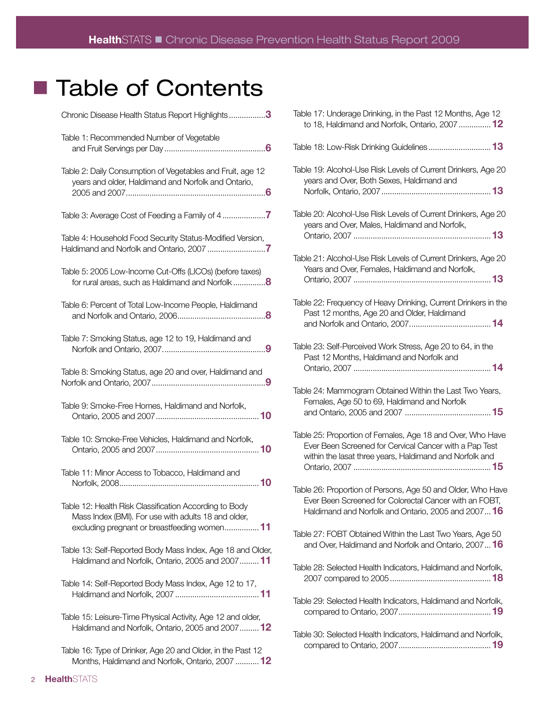# ■ Table of Contents

| Chronic Disease Health Status Report Highlights3                                                                                                             |
|--------------------------------------------------------------------------------------------------------------------------------------------------------------|
| Table 1: Recommended Number of Vegetable                                                                                                                     |
| Table 2: Daily Consumption of Vegetables and Fruit, age 12<br>years and older, Haldimand and Norfolk and Ontario,                                            |
|                                                                                                                                                              |
| Table 4: Household Food Security Status-Modified Version,                                                                                                    |
| Table 5: 2005 Low-Income Cut-Offs (LICOs) (before taxes)<br>for rural areas, such as Haldimand and Norfolk8                                                  |
| Table 6: Percent of Total Low-Income People, Haldimand                                                                                                       |
| Table 7: Smoking Status, age 12 to 19, Haldimand and                                                                                                         |
| Table 8: Smoking Status, age 20 and over, Haldimand and                                                                                                      |
| Table 9: Smoke-Free Homes, Haldimand and Norfolk,                                                                                                            |
| Table 10: Smoke-Free Vehicles, Haldimand and Norfolk,                                                                                                        |
| Table 11: Minor Access to Tobacco, Haldimand and                                                                                                             |
| Table 12: Health Risk Classification According to Body<br>Mass Index (BMI). For use with adults 18 and older,<br>excluding pregnant or breastfeeding women11 |
| Table 13: Self-Reported Body Mass Index, Age 18 and Older,<br>Haldimand and Norfolk, Ontario, 2005 and 2007 11                                               |
| Table 14: Self-Reported Body Mass Index, Age 12 to 17,                                                                                                       |
| Table 15: Leisure-Time Physical Activity, Age 12 and older,<br>Haldimand and Norfolk, Ontario, 2005 and 2007 12                                              |
| Table 16: Type of Drinker, Age 20 and Older, in the Past 12<br>Months, Haldimand and Norfolk, Ontario, 2007  12                                              |

| Table 17: Underage Drinking, in the Past 12 Months, Age 12<br>to 18, Haldimand and Norfolk, Ontario, 2007  12                                                                   |
|---------------------------------------------------------------------------------------------------------------------------------------------------------------------------------|
|                                                                                                                                                                                 |
| Table 19: Alcohol-Use Risk Levels of Current Drinkers, Age 20<br>years and Over, Both Sexes, Haldimand and                                                                      |
| Table 20: Alcohol-Use Risk Levels of Current Drinkers, Age 20<br>years and Over, Males, Haldimand and Norfolk,                                                                  |
| Table 21: Alcohol-Use Risk Levels of Current Drinkers, Age 20<br>Years and Over, Females, Haldimand and Norfolk,                                                                |
| Table 22: Frequency of Heavy Drinking, Current Drinkers in the<br>Past 12 months, Age 20 and Older, Haldimand                                                                   |
| Table 23: Self-Perceived Work Stress, Age 20 to 64, in the<br>Past 12 Months, Haldimand and Norfolk and                                                                         |
| Table 24: Mammogram Obtained Within the Last Two Years,<br>Females, Age 50 to 69, Haldimand and Norfolk                                                                         |
| Table 25: Proportion of Females, Age 18 and Over, Who Have<br>Ever Been Screened for Cervical Cancer with a Pap Test<br>within the lasat three years, Haldimand and Norfolk and |
| Table 26: Proportion of Persons, Age 50 and Older, Who Have<br>Ever Been Screened for Colorectal Cancer with an FOBT,<br>Haldimand and Norfolk and Ontario, 2005 and 2007 16    |
| Table 27: FOBT Obtained Within the Last Two Years, Age 50<br>and Over, Haldimand and Norfolk and Ontario, 2007 16                                                               |
|                                                                                                                                                                                 |
| Table 28: Selected Health Indicators, Haldimand and Norfolk,                                                                                                                    |
| Table 29: Selected Health Indicators, Haldimand and Norfolk,                                                                                                                    |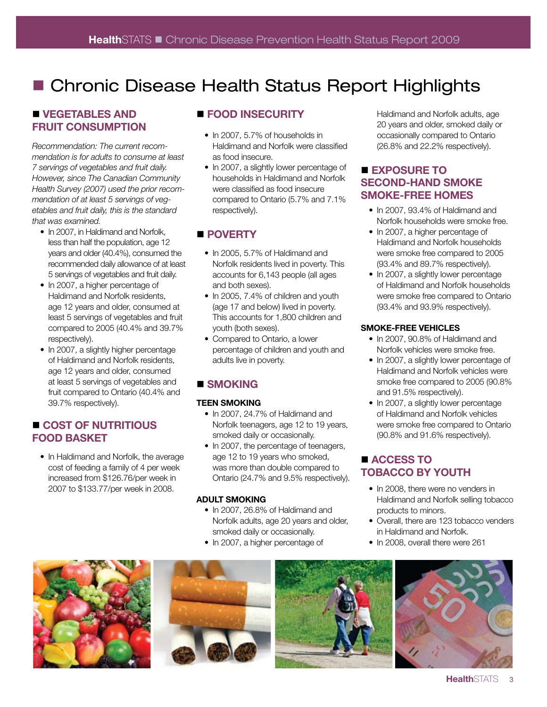# ■ Chronic Disease Health Status Report Highlights

# **N** VEGETABLES AND **FRUIT CONSUMPTION**

*Recommendation: The current recommendation is for adults to consume at least 7 servings of vegetables and fruit daily. However, since The Canadian Community Health Survey (2007) used the prior recommendation of at least 5 servings of vegetables and fruit daily, this is the standard that was examined.* 

- In 2007, in Haldimand and Norfolk, less than half the population, age 12 years and older (40.4%), consumed the recommended daily allowance of at least 5 servings of vegetables and fruit daily.
- In 2007, a higher percentage of Haldimand and Norfolk residents, age 12 years and older, consumed at least 5 servings of vegetables and fruit compared to 2005 (40.4% and 39.7% respectively).
- In 2007, a slightly higher percentage of Haldimand and Norfolk residents, age 12 years and older, consumed at least 5 servings of vegetables and fruit compared to Ontario (40.4% and 39.7% respectively).

# n **COST OF NUTRITIOUS FOOD BASKET**

• In Haldimand and Norfolk, the average cost of feeding a family of 4 per week increased from \$126.76/per week in 2007 to \$133.77/per week in 2008.

# $\blacksquare$  **FOOD INSECURITY**

- In 2007, 5.7% of households in Haldimand and Norfolk were classified as food insecure.
- In 2007, a slightly lower percentage of households in Haldimand and Norfolk were classified as food insecure compared to Ontario (5.7% and 7.1% respectively).

# **n** POVERTY

- In 2005, 5.7% of Haldimand and Norfolk residents lived in poverty. This accounts for 6,143 people (all ages and both sexes).
- In 2005, 7.4% of children and youth (age 17 and below) lived in poverty. This accounts for 1,800 children and youth (both sexes).
- Compared to Ontario, a lower percentage of children and youth and adults live in poverty.

# ■ SMOKING

# **TEEN SMOKING**

- In 2007, 24.7% of Haldimand and Norfolk teenagers, age 12 to 19 years, smoked daily or occasionally.
- In 2007, the percentage of teenagers, age 12 to 19 years who smoked, was more than double compared to Ontario (24.7% and 9.5% respectively).

## **ADULT SMOKING**

- In 2007, 26.8% of Haldimand and Norfolk adults, age 20 years and older, smoked daily or occasionally.
- In 2007, a higher percentage of

Haldimand and Norfolk adults, age 20 years and older, smoked daily or occasionally compared to Ontario (26.8% and 22.2% respectively).

# ■ **EXPOSURE TO SECOND-HAND SMOKE SMOKE-FREE HOMES**

- In 2007, 93.4% of Haldimand and Norfolk households were smoke free.
- In 2007, a higher percentage of Haldimand and Norfolk households were smoke free compared to 2005 (93.4% and 89.7% respectively).
- In 2007, a slightly lower percentage of Haldimand and Norfolk households were smoke free compared to Ontario (93.4% and 93.9% respectively).

## **SMOKE-FREE VEHICLES**

- In 2007, 90.8% of Haldimand and Norfolk vehicles were smoke free.
- In 2007, a slightly lower percentage of Haldimand and Norfolk vehicles were smoke free compared to 2005 (90.8% and 91.5% respectively).
- In 2007, a slightly lower percentage of Haldimand and Norfolk vehicles were smoke free compared to Ontario (90.8% and 91.6% respectively).

# ■ **ACCESS TO TOBACCO BY YOUTH**

- In 2008, there were no venders in Haldimand and Norfolk selling tobacco products to minors.
- Overall, there are 123 tobacco venders in Haldimand and Norfolk.
- In 2008, overall there were 261







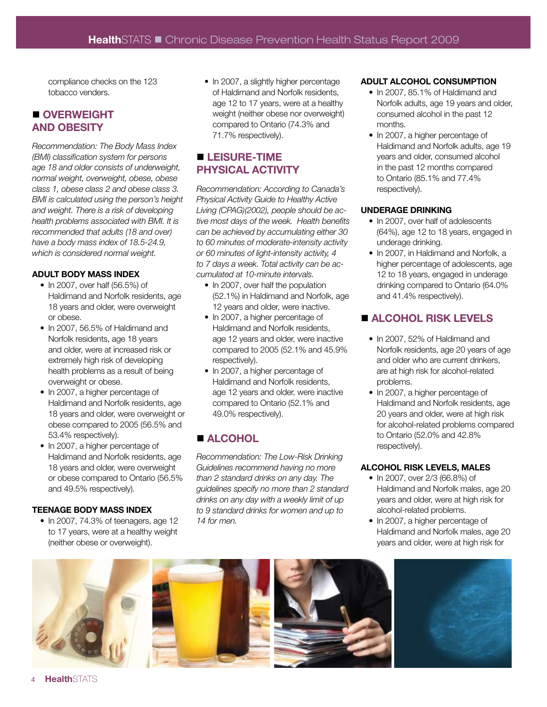compliance checks on the 123 tobacco venders.

# n **OVERWEIGHT AND OBESITY**

*Recommendation: The Body Mass Index (BMI) classification system for persons age 18 and older consists of underweight, normal weight, overweight, obese, obese class 1, obese class 2 and obese class 3. BMI is calculated using the person's height and weight. There is a risk of developing health problems associated with BMI. It is recommended that adults (18 and over) have a body mass index of 18.5-24.9, which is considered normal weight.* 

## **ADULT BODY MASS INDEX**

- In 2007, over half (56.5%) of Haldimand and Norfolk residents, age 18 years and older, were overweight or obese.
- In 2007, 56.5% of Haldimand and Norfolk residents, age 18 years and older, were at increased risk or extremely high risk of developing health problems as a result of being overweight or obese.
- In 2007, a higher percentage of Haldimand and Norfolk residents, age 18 years and older, were overweight or obese compared to 2005 (56.5% and 53.4% respectively).
- In 2007, a higher percentage of Haldimand and Norfolk residents, age 18 years and older, were overweight or obese compared to Ontario (56.5% and 49.5% respectively).

## **TEENAGE BODY MASS INDEX**

• In 2007, 74.3% of teenagers, age 12 to 17 years, were at a healthy weight (neither obese or overweight).

• In 2007, a slightly higher percentage of Haldimand and Norfolk residents, age 12 to 17 years, were at a healthy weight (neither obese nor overweight) compared to Ontario (74.3% and 71.7% respectively).

# $\blacksquare$  **LEISURE-TIME PHYSICAL ACTIVITY**

*Recommendation: According to Canada's Physical Activity Guide to Healthy Active Living (CPAG)(2002), people should be active most days of the week. Health benefits can be achieved by accumulating either 30 to 60 minutes of moderate-intensity activity or 60 minutes of light-intensity activity, 4 to 7 days a week. Total activity can be accumulated at 10-minute intervals.* 

- In 2007, over half the population (52.1%) in Haldimand and Norfolk, age 12 years and older, were inactive.
- In 2007, a higher percentage of Haldimand and Norfolk residents, age 12 years and older, were inactive compared to 2005 (52.1% and 45.9% respectively).
- In 2007, a higher percentage of Haldimand and Norfolk residents, age 12 years and older, were inactive compared to Ontario (52.1% and 49.0% respectively).

# **n** ALCOHOL

*Recommendation: The Low-Risk Drinking Guidelines recommend having no more than 2 standard drinks on any day. The guidelines specify no more than 2 standard drinks on any day with a weekly limit of up to 9 standard drinks for women and up to 14 for men.*

## **ADULT ALCOHOL CONSUMPTION**

- In 2007, 85.1% of Haldimand and Norfolk adults, age 19 years and older, consumed alcohol in the past 12 months.
- In 2007, a higher percentage of Haldimand and Norfolk adults, age 19 years and older, consumed alcohol in the past 12 months compared to Ontario (85.1% and 77.4% respectively).

#### **UNDERAGE DRINKING**

- In 2007, over half of adolescents (64%), age 12 to 18 years, engaged in underage drinking.
- In 2007, in Haldimand and Norfolk, a higher percentage of adolescents, age 12 to 18 years, engaged in underage drinking compared to Ontario (64.0% and 41.4% respectively).

# n **ALCOHOL RISK LEVELS**

- In 2007, 52% of Haldimand and Norfolk residents, age 20 years of age and older who are current drinkers, are at high risk for alcohol-related problems.
- In 2007, a higher percentage of Haldimand and Norfolk residents, age 20 years and older, were at high risk for alcohol-related problems compared to Ontario (52.0% and 42.8% respectively).

## **ALCOHOL RISK LEVELS, MALES**

- In 2007, over 2/3 (66.8%) of Haldimand and Norfolk males, age 20 years and older, were at high risk for alcohol-related problems.
- In 2007, a higher percentage of Haldimand and Norfolk males, age 20 years and older, were at high risk for







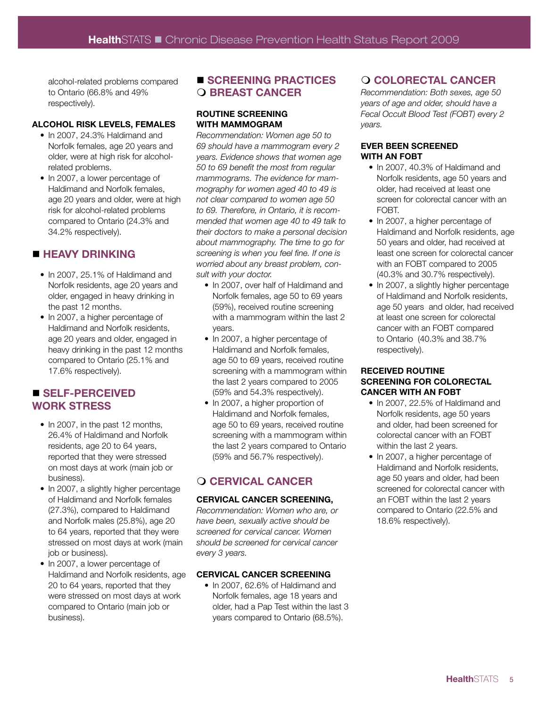alcohol-related problems compared to Ontario (66.8% and 49% respectively).

#### **ALCOHOL RISK LEVELS, FEMALES**

- In 2007, 24.3% Haldimand and Norfolk females, age 20 years and older, were at high risk for alcoholrelated problems.
- In 2007, a lower percentage of Haldimand and Norfolk females, age 20 years and older, were at high risk for alcohol-related problems compared to Ontario (24.3% and 34.2% respectively).

# **N HEAVY DRINKING**

- In 2007, 25.1% of Haldimand and Norfolk residents, age 20 years and older, engaged in heavy drinking in the past 12 months.
- In 2007, a higher percentage of Haldimand and Norfolk residents, age 20 years and older, engaged in heavy drinking in the past 12 months compared to Ontario (25.1% and 17.6% respectively).

# n **SELF-PERCEIVED WORK STRESS**

- In 2007, in the past 12 months, 26.4% of Haldimand and Norfolk residents, age 20 to 64 years, reported that they were stressed on most days at work (main job or business).
- In 2007, a slightly higher percentage of Haldimand and Norfolk females (27.3%), compared to Haldimand and Norfolk males (25.8%), age 20 to 64 years, reported that they were stressed on most days at work (main job or business).
- In 2007, a lower percentage of Haldimand and Norfolk residents, age 20 to 64 years, reported that they were stressed on most days at work compared to Ontario (main job or business).

## ■ **SCREENING PRACTICES O BREAST CANCER**

#### **ROUTINE SCREENING WITH MAMMOGRAM**

*Recommendation: Women age 50 to 69 should have a mammogram every 2 years. Evidence shows that women age 50 to 69 benefit the most from regular mammograms. The evidence for mammography for women aged 40 to 49 is not clear compared to women age 50 to 69. Therefore, in Ontario, it is recommended that women age 40 to 49 talk to their doctors to make a personal decision about mammography. The time to go for screening is when you feel fine. If one is worried about any breast problem, consult with your doctor.*

- In 2007, over half of Haldimand and Norfolk females, age 50 to 69 years (59%), received routine screening with a mammogram within the last 2 years.
- In 2007, a higher percentage of Haldimand and Norfolk females, age 50 to 69 years, received routine screening with a mammogram within the last 2 years compared to 2005 (59% and 54.3% respectively).
- In 2007, a higher proportion of Haldimand and Norfolk females, age 50 to 69 years, received routine screening with a mammogram within the last 2 years compared to Ontario (59% and 56.7% respectively).

# m **CERVICAL CANCER**

#### **CERVICAL CANCER SCREENING,**

*Recommendation: Women who are, or have been, sexually active should be screened for cervical cancer. Women should be screened for cervical cancer every 3 years.* 

#### **CERVICAL CANCER SCREENING**

• In 2007, 62.6% of Haldimand and Norfolk females, age 18 years and older, had a Pap Test within the last 3 years compared to Ontario (68.5%).

# m **COLORECTAL CANCER**

*Recommendation: Both sexes, age 50 years of age and older, should have a Fecal Occult Blood Test (FOBT) every 2 years.*

#### **EVER BEEN SCREENED WITH AN FOBT**

- In 2007, 40.3% of Haldimand and Norfolk residents, age 50 years and older, had received at least one screen for colorectal cancer with an FOBT.
- In 2007, a higher percentage of Haldimand and Norfolk residents, age 50 years and older, had received at least one screen for colorectal cancer with an FOBT compared to 2005 (40.3% and 30.7% respectively).
- In 2007, a slightly higher percentage of Haldimand and Norfolk residents, age 50 years and older, had received at least one screen for colorectal cancer with an FOBT compared to Ontario (40.3% and 38.7% respectively).

## **RECEIVED ROUTINE SCREENING FOR COLORECTAL CANCER WITH AN FOBT**

- In 2007, 22.5% of Haldimand and Norfolk residents, age 50 years and older, had been screened for colorectal cancer with an FOBT within the last 2 years.
- In 2007, a higher percentage of Haldimand and Norfolk residents, age 50 years and older, had been screened for colorectal cancer with an FOBT within the last 2 years compared to Ontario (22.5% and 18.6% respectively).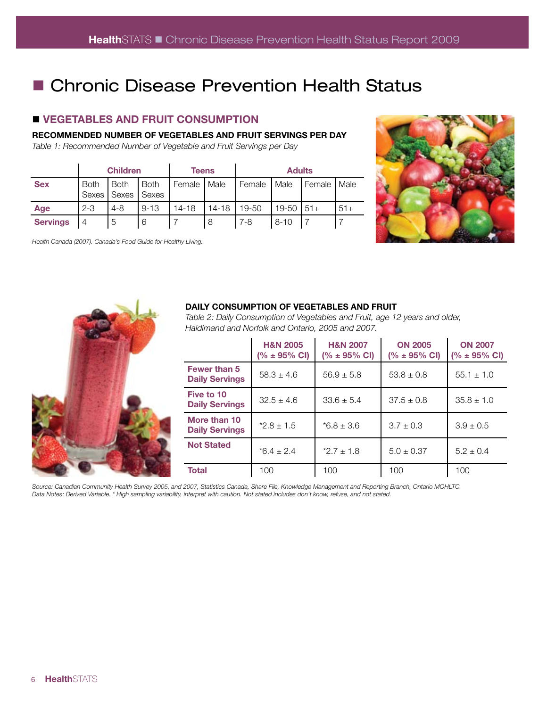# ■ Chronic Disease Prevention Health Status

# **N VEGETABLES AND FRUIT CONSUMPTION**

**RECOMMENDED NUMBER OF VEGETABLES AND FRUIT SERVINGS PER DAY** 

*Table 1: Recommended Number of Vegetable and Fruit Servings per Day*

|                 | <b>Children</b>      |                        | Teens                |           | <b>Adults</b> |         |          |        |       |
|-----------------|----------------------|------------------------|----------------------|-----------|---------------|---------|----------|--------|-------|
| <b>Sex</b>      | <b>Both</b><br>Sexes | <b>Both</b><br>I Sexes | <b>Both</b><br>Sexes | Female    | Male          | Female  | Male     | Female | Male  |
| Age             | $2 - 3$              | $4 - 8$                | $9 - 13$             | $14 - 18$ | $14 - 18$     | 19-50   | $19-50$  | $51+$  | $51+$ |
| <b>Servings</b> | 4                    | 5                      | 6                    |           | 8             | $7 - 8$ | $8 - 10$ |        |       |

*Health Canada (2007). Canada's Food Guide for Healthy Living.* 





#### **DAILY CONSUMPTION OF VEGETABLES AND FRUIT**

*Table 2: Daily Consumption of Vegetables and Fruit, age 12 years and older, Haldimand and Norfolk and Ontario, 2005 and 2007.*

|                                              | <b>H&amp;N 2005</b><br>$(% \pm 95\% \text{ CI})$ | <b>H&amp;N 2007</b><br>$(% \pm 95\% \text{ CI})$ | <b>ON 2005</b><br>$(% \pm 95\% \text{ CI})$ | <b>ON 2007</b><br>$(% \pm 95\% \text{ CI})$ |
|----------------------------------------------|--------------------------------------------------|--------------------------------------------------|---------------------------------------------|---------------------------------------------|
| <b>Fewer than 5</b><br><b>Daily Servings</b> | $58.3 \pm 4.6$                                   | $56.9 \pm 5.8$                                   | $53.8 \pm 0.8$                              | $55.1 \pm 1.0$                              |
| Five to 10<br><b>Daily Servings</b>          | $32.5 \pm 4.6$                                   | $33.6 \pm 5.4$                                   | $37.5 \pm 0.8$                              | $35.8 \pm 1.0$                              |
| More than 10<br><b>Daily Servings</b>        | $*2.8 \pm 1.5$                                   | $*6.8 \pm 3.6$                                   | $3.7 \pm 0.3$                               | $3.9 \pm 0.5$                               |
| <b>Not Stated</b>                            | $*6.4 \pm 2.4$                                   | $*2.7 \pm 1.8$                                   | $5.0 \pm 0.37$                              | $5.2 \pm 0.4$                               |
| <b>Total</b>                                 | 100                                              | 100                                              | 100                                         | 100                                         |

*Source: Canadian Community Health Survey 2005, and 2007, Statistics Canada, Share File, Knowledge Management and Reporting Branch, Ontario MOHLTC. Data Notes: Derived Variable. \* High sampling variability, interpret with caution. Not stated includes don't know, refuse, and not stated.*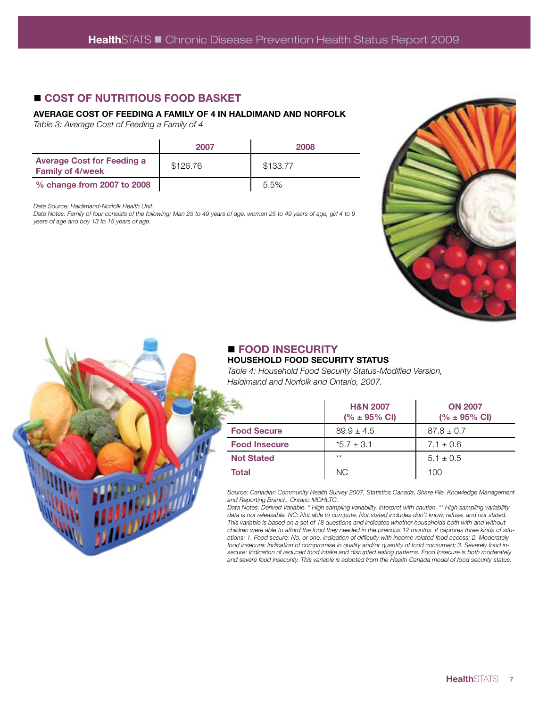# ■ COST OF NUTRITIOUS FOOD BASKET

#### **AVERAGE COST OF FEEDING A FAMILY OF 4 IN HALDIMAND AND NORFOLK**

*Table 3: Average Cost of Feeding a Family of 4*

|                                                              | 2007     | 2008     |
|--------------------------------------------------------------|----------|----------|
| <b>Average Cost for Feeding a</b><br><b>Family of 4/week</b> | \$126.76 | \$133.77 |
| % change from 2007 to 2008                                   |          | 5.5%     |

*Data Source: Haldimand-Norfolk Health Unit.*

*Data Notes: Family of four consists of the following: Man 25 to 49 years of age, woman 25 to 49 years of age, girl 4 to 9 years of age and boy 13 to 15 years of age.*





# n **FOOD INSECURITY HOUSEHOLD FOOD SECURITY STATUS**

*Table 4: Household Food Security Status-Modified Version, Haldimand and Norfolk and Ontario, 2007.* 

|                      | <b>H&amp;N 2007</b><br>$(% \pm 95\% \text{ CI})$ | <b>ON 2007</b><br>$(% \pm 95\% \text{ CI})$ |  |
|----------------------|--------------------------------------------------|---------------------------------------------|--|
| <b>Food Secure</b>   | $89.9 \pm 4.5$                                   | $87.8 \pm 0.7$                              |  |
| <b>Food Insecure</b> | $*5.7 \pm 3.1$                                   | $7.1 \pm 0.6$                               |  |
| <b>Not Stated</b>    | $***$                                            | $5.1 \pm 0.5$                               |  |
| <b>Total</b>         | NC.                                              | 100                                         |  |

*Source: Canadian Community Health Survey 2007, Statistics Canada, Share File, Knowledge Management and Reporting Branch, Ontario MOHLTC.*

*Data Notes: Derived Variable. \* High sampling variability, interpret with caution. \*\* High sampling variability data is not releasable. NC: Not able to compute. Not stated includes don't know, refuse, and not stated. This variable is based on a set of 18 questions and indicates whether households both with and without children were able to afford the food they needed in the previous 12 months. It captures three kinds of situations: 1. Food secure: No, or one, indication of difficulty with income-related food access; 2. Moderately food insecure: Indication of compromise in quality and/or quantity of food consumed; 3. Severely food insecure: Indication of reduced food intake and disrupted eating patterns. Food Insecure is both moderately and severe food insecurity. This variable is adopted from the Health Canada model of food security status.*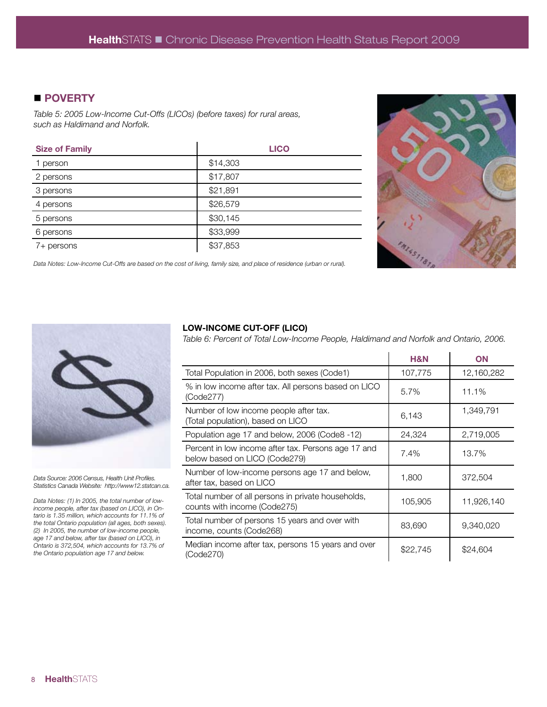# ■ POVERTY

*Table 5: 2005 Low-Income Cut-Offs (LICOs) (before taxes) for rural areas, such as Haldimand and Norfolk.*

| <b>Size of Family</b> | <b>LICO</b> |
|-----------------------|-------------|
| 1 person              | \$14,303    |
| 2 persons             | \$17,807    |
| 3 persons             | \$21,891    |
| 4 persons             | \$26,579    |
| 5 persons             | \$30,145    |
| 6 persons             | \$33,999    |
| 7+ persons            | \$37,853    |



*Data Notes: Low-Income Cut-Offs are based on the cost of living, family size, and place of residence (urban or rural).* 



*Data Source: 2006 Census, Health Unit Profiles. Statistics Canada Website: http://www12.statcan.ca.*

*Data Notes: (1) In 2005, the total number of lowincome people, after tax (based on LICO), in Ontario is 1.35 million, which accounts for 11.1% of the total Ontario population (all ages, both sexes). (2) In 2005, the number of low-income people, age 17 and below, after tax (based on LICO), in Ontario is 372,504, which accounts for 13.7% of the Ontario population age 17 and below.*

#### **LOW-INCOME CUT-OFF (LICO)**

*Table 6: Percent of Total Low-Income People, Haldimand and Norfolk and Ontario, 2006.*

|                                                                                      | H&N      | <b>ON</b>  |
|--------------------------------------------------------------------------------------|----------|------------|
| Total Population in 2006, both sexes (Code1)                                         | 107,775  | 12,160,282 |
| % in low income after tax. All persons based on LICO<br>(Code277)                    | $5.7\%$  | 11.1%      |
| Number of low income people after tax.<br>(Total population), based on LICO          | 6,143    | 1,349,791  |
| Population age 17 and below, 2006 (Code8 -12)                                        | 24,324   | 2,719,005  |
| Percent in low income after tax. Persons age 17 and<br>below based on LICO (Code279) | 7.4%     | 13.7%      |
| Number of low-income persons age 17 and below,<br>after tax, based on LICO           | 1,800    | 372,504    |
| Total number of all persons in private households,<br>counts with income (Code275)   | 105,905  | 11,926,140 |
| Total number of persons 15 years and over with<br>income, counts (Code268)           | 83,690   | 9,340,020  |
| Median income after tax, persons 15 years and over<br>(Code270)                      | \$22,745 | \$24,604   |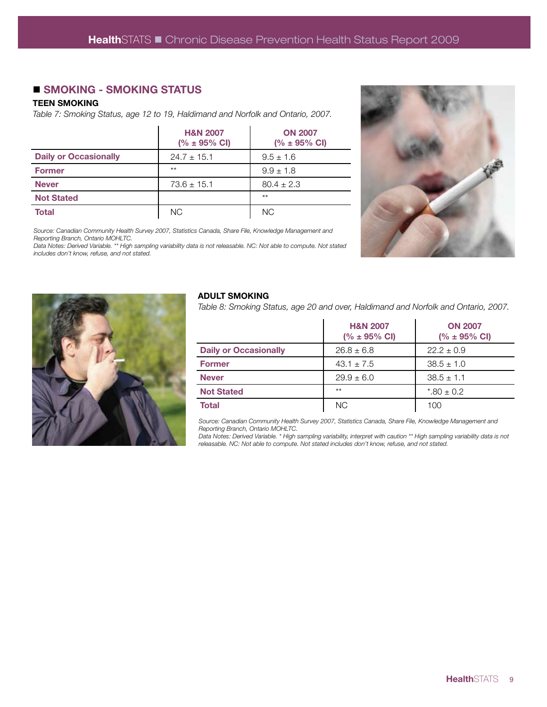# ■ SMOKING - SMOKING STATUS

#### **TEEN SMOKING**

*Table 7: Smoking Status, age 12 to 19, Haldimand and Norfolk and Ontario, 2007.*

|                              | <b>H&amp;N 2007</b><br>$(% \pm 95\% \text{ CI})$ | <b>ON 2007</b><br>$(% \pm 95\% \text{ CI})$ |
|------------------------------|--------------------------------------------------|---------------------------------------------|
| <b>Daily or Occasionally</b> | $24.7 \pm 15.1$                                  | $9.5 \pm 1.6$                               |
| <b>Former</b>                | $**$                                             | $9.9 \pm 1.8$                               |
| <b>Never</b>                 | $73.6 \pm 15.1$                                  | $80.4 \pm 2.3$                              |
| <b>Not Stated</b>            |                                                  | $*$ *                                       |
| Total                        | NC.                                              | <b>NC</b>                                   |



*Source: Canadian Community Health Survey 2007, Statistics Canada, Share File, Knowledge Management and Reporting Branch, Ontario MOHLTC.*

*Data Notes: Derived Variable. \*\* High sampling variability data is not releasable. NC: Not able to compute. Not stated includes don't know, refuse, and not stated.*



#### **ADULT SMOKING**

*Table 8: Smoking Status, age 20 and over, Haldimand and Norfolk and Ontario, 2007.*

|                              | <b>H&amp;N 2007</b><br>$(% \pm 95\% \text{ CI})$ | <b>ON 2007</b><br>$(% \pm 95\% \text{ CI})$ |
|------------------------------|--------------------------------------------------|---------------------------------------------|
| <b>Daily or Occasionally</b> | $26.8 \pm 6.8$                                   | $22.2 \pm 0.9$                              |
| <b>Former</b>                | $43.1 \pm 7.5$                                   | $38.5 \pm 1.0$                              |
| <b>Never</b>                 | $29.9 \pm 6.0$                                   | $38.5 \pm 1.1$                              |
| <b>Not Stated</b>            | $**$                                             | $*80 \pm 0.2$                               |
| <b>Total</b>                 | NC.                                              | 100                                         |

*Source: Canadian Community Health Survey 2007, Statistics Canada, Share File, Knowledge Management and Reporting Branch, Ontario MOHLTC.*

*Data Notes: Derived Variable. \* High sampling variability, interpret with caution \*\* High sampling variability data is not releasable. NC: Not able to compute. Not stated includes don't know, refuse, and not stated.*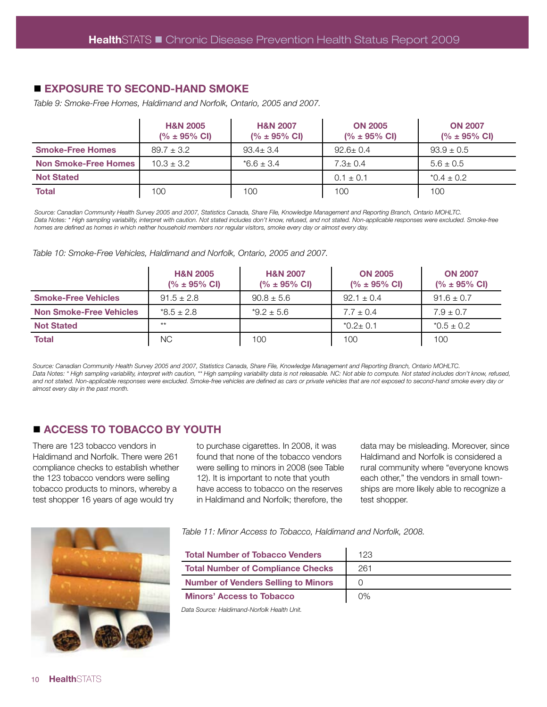# ■ **EXPOSURE TO SECOND-HAND SMOKE**

*Table 9: Smoke-Free Homes, Haldimand and Norfolk, Ontario, 2005 and 2007.*

|                             | <b>H&amp;N 2005</b><br>$(% \pm 95\% \text{ CI})$ | <b>H&amp;N 2007</b><br>$(% \pm 95\% \text{ Cl})$ | <b>ON 2005</b><br>$(% \pm 95\% \text{ Cl})$ | <b>ON 2007</b><br>$(% \pm 95\% \text{ CI})$ |
|-----------------------------|--------------------------------------------------|--------------------------------------------------|---------------------------------------------|---------------------------------------------|
| <b>Smoke-Free Homes</b>     | $89.7 \pm 3.2$                                   | $93.4 + 3.4$                                     | $92.6 \pm 0.4$                              | $93.9 \pm 0.5$                              |
| <b>Non Smoke-Free Homes</b> | $10.3 \pm 3.2$                                   | $*6.6 + 3.4$                                     | $7.3 \pm 0.4$                               | $5.6 \pm 0.5$                               |
| <b>Not Stated</b>           |                                                  |                                                  | $0.1 \pm 0.1$                               | $*0.4 \pm 0.2$                              |
| <b>Total</b>                | 100                                              | 100                                              | 100                                         | 100                                         |

*Source: Canadian Community Health Survey 2005 and 2007, Statistics Canada, Share File, Knowledge Management and Reporting Branch, Ontario MOHLTC.* Data Notes: \* High sampling variability, interpret with caution. Not stated includes don't know, refused, and not stated. Non-applicable responses were excluded. Smoke-free *homes are defined as homes in which neither household members nor regular visitors, smoke every day or almost every day.* 

#### *Table 10: Smoke-Free Vehicles, Haldimand and Norfolk, Ontario, 2005 and 2007.*

|                                | <b>H&amp;N 2005</b><br>$(% \pm 95\% \text{ Cl})$ | <b>H&amp;N 2007</b><br>$(% \pm 95\% \text{ CI})$ | <b>ON 2005</b><br>$(% \pm 95\% \text{ Cl})$ | <b>ON 2007</b><br>$(% \pm 95\% \text{ CI})$ |
|--------------------------------|--------------------------------------------------|--------------------------------------------------|---------------------------------------------|---------------------------------------------|
| <b>Smoke-Free Vehicles</b>     | $91.5 \pm 2.8$                                   | $90.8 \pm 5.6$                                   | $92.1 \pm 0.4$                              | $91.6 \pm 0.7$                              |
| <b>Non Smoke-Free Vehicles</b> | $*8.5 + 2.8$                                     | $*9.2 \pm 5.6$                                   | $7.7 + 0.4$                                 | $7.9 \pm 0.7$                               |
| <b>Not Stated</b>              | $**$                                             |                                                  | $*0.2 \pm 0.1$                              | $*0.5 \pm 0.2$                              |
| <b>Total</b>                   | NC.                                              | 100                                              | 100                                         | 100                                         |

*Source: Canadian Community Health Survey 2005 and 2007, Statistics Canada, Share File, Knowledge Management and Reporting Branch, Ontario MOHLTC.* Data Notes: \* High sampling variability, interpret with caution, \*\* High sampling variability data is not releasable. NC: Not able to compute. Not stated includes don't know, refused, *and not stated. Non-applicable responses were excluded. Smoke-free vehicles are defined as cars or private vehicles that are not exposed to second-hand smoke every day or almost every day in the past month.*

# $\blacksquare$  **ACCESS TO TOBACCO BY YOUTH**

There are 123 tobacco vendors in Haldimand and Norfolk. There were 261 compliance checks to establish whether the 123 tobacco vendors were selling tobacco products to minors, whereby a test shopper 16 years of age would try



data may be misleading. Moreover, since Haldimand and Norfolk is considered a rural community where "everyone knows each other," the vendors in small townships are more likely able to recognize a test shopper.



*Table 11: Minor Access to Tobacco, Haldimand and Norfolk, 2008.*

| <b>Total Number of Tobacco Venders</b>     | 123   |
|--------------------------------------------|-------|
| <b>Total Number of Compliance Checks</b>   | 261   |
| <b>Number of Venders Selling to Minors</b> |       |
| <b>Minors' Access to Tobacco</b>           | $0\%$ |

*Data Source: Haldimand-Norfolk Health Unit.*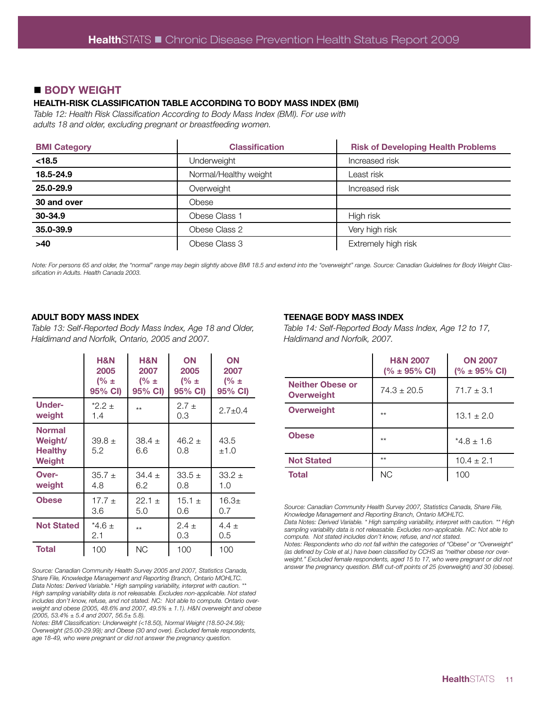## ■ **BODY WEIGHT**

#### **HEALTH-RISK CLASSIFICATION TABLE ACCORDING TO BODY MASS INDEX (BMI)**

*Table 12: Health Risk Classification According to Body Mass Index (BMI). For use with adults 18 and older, excluding pregnant or breastfeeding women.*

| <b>BMI Category</b> | <b>Classification</b> | <b>Risk of Developing Health Problems</b> |
|---------------------|-----------------------|-------------------------------------------|
| < 18.5              | Underweight           | Increased risk                            |
| 18.5-24.9           | Normal/Healthy weight | Least risk                                |
| 25.0-29.9           | Overweight            | Increased risk                            |
| 30 and over         | Obese                 |                                           |
| 30-34.9             | Obese Class 1         | High risk                                 |
| 35.0-39.9           | Obese Class 2         | Very high risk                            |
| $>40$               | Obese Class 3         | Extremely high risk                       |

*Note: For persons 65 and older, the "normal" range may begin slightly above BMI 18.5 and extend into the "overweight" range. Source: Canadian Guidelines for Body Weight Classification in Adults. Health Canada 2003.* 

#### **ADULT BODY MASS INDEX**

*Table 13: Self-Reported Body Mass Index, Age 18 and Older, Haldimand and Norfolk, Ontario, 2005 and 2007.*

|                                                      | <b>H&amp;N</b><br>2005<br>$(% \pm )$<br>95% CI) | <b>H&amp;N</b><br>2007<br>(% $\pm$<br>95% CI) | ON<br>2005<br>(% $\pm$<br>95% CI) | ON<br>2007<br>(% $\pm$<br>95% CI) |
|------------------------------------------------------|-------------------------------------------------|-----------------------------------------------|-----------------------------------|-----------------------------------|
| <b>Under-</b><br>weight                              | $*2.2 \pm$<br>1.4                               | $**$                                          | $2.7 \pm$<br>0.3                  | $2.7 \pm 0.4$                     |
| <b>Normal</b><br>Weight/<br><b>Healthy</b><br>Weight | $39.8 +$<br>5.2                                 | $38.4 \pm$<br>6.6                             | $46.2 \pm$<br>0.8                 | 43.5<br>±1.0                      |
| Over-<br>weight                                      | $35.7 +$<br>4.8                                 | $34.4 \pm$<br>6.2                             | $33.5 +$<br>0.8                   | $33.2 +$<br>1.0                   |
| <b>Obese</b>                                         | $17.7 \pm$<br>3.6                               | $22.1 +$<br>5.0                               | $15.1 \pm$<br>0.6                 | $16.3+$<br>0.7                    |
| <b>Not Stated</b>                                    | $*4.6+$<br>2.1                                  | $**$                                          | $2.4 \pm$<br>0.3                  | 4.4 $\pm$<br>0.5                  |
| <b>Total</b>                                         | 100                                             | ΝC                                            | 100                               | 100                               |

*Source: Canadian Community Health Survey 2005 and 2007, Statistics Canada, Share File, Knowledge Management and Reporting Branch, Ontario MOHLTC. Data Notes: Derived Variable.\* High sampling variability, interpret with caution. \*\* High sampling variability data is not releasable. Excludes non-applicable. Not stated includes don't know, refuse, and not stated. NC: Not able to compute. Ontario overweight and obese (2005, 48.6% and 2007, 49.5% ± 1.1). H&N overweight and obese (2005, 53.4% ± 5.4 and 2007, 56.5± 5.8).* 

*Notes: BMI Classification: Underweight (<18.50), Normal Weight (18.50-24.99); Overweight (25.00-29.99); and Obese (30 and over). Excluded female respondents, age 18-49, who were pregnant or did not answer the pregnancy question.* 

#### **TEENAGE BODY MASS INDEX**

*Table 14: Self-Reported Body Mass Index, Age 12 to 17, Haldimand and Norfolk, 2007.*

|                                              | <b>H&amp;N 2007</b><br>$(% \pm 95\% \text{ CI})$ | <b>ON 2007</b><br>$(% \pm 95\% \text{ CI})$ |
|----------------------------------------------|--------------------------------------------------|---------------------------------------------|
| <b>Neither Obese or</b><br><b>Overweight</b> | $74.3 + 20.5$                                    | $71.7 \pm 3.1$                              |
| <b>Overweight</b>                            | $**$                                             | $13.1 \pm 2.0$                              |
| <b>Obese</b>                                 | $**$                                             | $*4.8 + 1.6$                                |
| <b>Not Stated</b>                            | $***$                                            | $10.4 \pm 2.1$                              |
| <b>Total</b>                                 | <b>NC</b>                                        | 100                                         |

*Source: Canadian Community Health Survey 2007, Statistics Canada, Share File, Knowledge Management and Reporting Branch, Ontario MOHLTC. Data Notes: Derived Variable. \* High sampling variability, interpret with caution. \*\* High sampling variability data is not releasable. Excludes non-applicable. NC: Not able to* 

*compute. Not stated includes don't know, refuse, and not stated. Notes: Respondents who do not fall within the categories of "Obese" or "Overweight" (as defined by Cole et al.) have been classified by CCHS as "neither obese nor overweight." Excluded female respondents, aged 15 to 17, who were pregnant or did not answer the pregnancy question. BMI cut-off points of 25 (overweight) and 30 (obese).*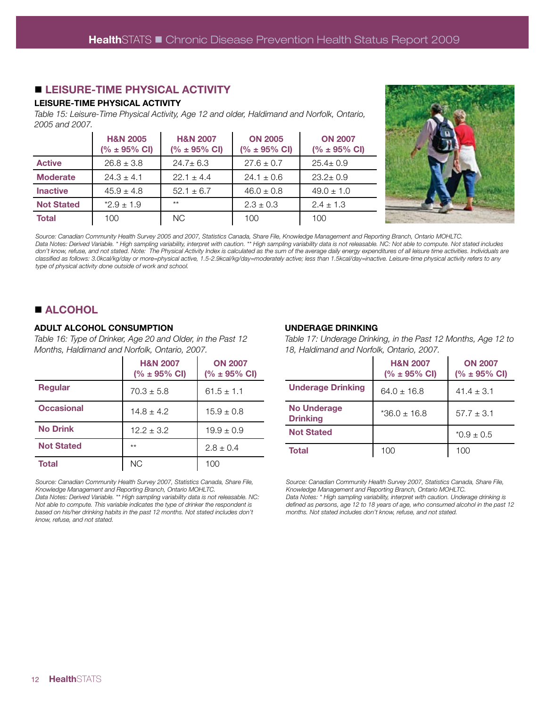# $\blacksquare$  **LEISURE-TIME PHYSICAL ACTIVITY**

#### **LEISURE-TIME PHYSICAL ACTIVITY**

*Table 15: Leisure-Time Physical Activity, Age 12 and older, Haldimand and Norfolk, Ontario, 2005 and 2007.*

|                   | <b>H&amp;N 2005</b><br>$(% \pm 95\% \text{ Cl})$ | <b>H&amp;N 2007</b><br>$(% \pm 95\% \text{ CI})$ | <b>ON 2005</b><br>$(% \pm 95\% \text{ Cl})$ | <b>ON 2007</b><br>$(% \pm 95\% \text{ Cl})$ |
|-------------------|--------------------------------------------------|--------------------------------------------------|---------------------------------------------|---------------------------------------------|
| <b>Active</b>     | $26.8 \pm 3.8$                                   | $24.7 \pm 6.3$                                   | $27.6 \pm 0.7$                              | $25.4 \pm 0.9$                              |
| <b>Moderate</b>   | $24.3 \pm 4.1$                                   | $22.1 \pm 4.4$                                   | $24.1 \pm 0.6$                              | $23.2 \pm 0.9$                              |
| <b>Inactive</b>   | $45.9 \pm 4.8$                                   | $52.1 \pm 6.7$                                   | $46.0 \pm 0.8$                              | $49.0 \pm 1.0$                              |
| <b>Not Stated</b> | $*2.9 \pm 1.9$                                   | $**$                                             | $2.3 \pm 0.3$                               | $2.4 \pm 1.3$                               |
| <b>Total</b>      | 100                                              | <b>NC</b>                                        | 100                                         | 100                                         |



*Source: Canadian Community Health Survey 2005 and 2007, Statistics Canada, Share File, Knowledge Management and Reporting Branch, Ontario MOHLTC. Data Notes: Derived Variable. \* High sampling variability, interpret with caution. \*\* High sampling variability data is not releasable. NC: Not able to compute. Not stated includes*  don't know, refuse, and not stated. Note: The Physical Activity Index is calculated as the sum of the average daily energy expenditures of all leisure time activities. Individuals are *classified as follows: 3.0kcal/kg/day or more=physical active, 1.5-2.9kcal/kg/day=moderately active; less than 1.5kcal/day=inactive. Leisure-time physical activity refers to any type of physical activity done outside of work and school.* 

# $\blacksquare$  **ALCOHOL**

#### **ADULT ALCOHOL CONSUMPTION**

*Table 16: Type of Drinker, Age 20 and Older, in the Past 12 Months, Haldimand and Norfolk, Ontario, 2007.*

|                   | <b>H&amp;N 2007</b><br>$(% \pm 95\% \text{ CI})$ | <b>ON 2007</b><br>$(% \pm 95\% \text{ Cl})$ |
|-------------------|--------------------------------------------------|---------------------------------------------|
| <b>Regular</b>    | $70.3 \pm 5.8$                                   | $61.5 \pm 1.1$                              |
| <b>Occasional</b> | $14.8 \pm 4.2$                                   | $15.9 \pm 0.8$                              |
| <b>No Drink</b>   | $12.2 \pm 3.2$                                   | $19.9 \pm 0.9$                              |
| <b>Not Stated</b> | $**$                                             | $2.8 \pm 0.4$                               |
| <b>Total</b>      | ΝC                                               | 100                                         |

*Source: Canadian Community Health Survey 2007, Statistics Canada, Share File, Knowledge Management and Reporting Branch, Ontario MOHLTC.*

*Data Notes: Derived Variable. \*\* High sampling variability data is not releasable. NC: Not able to compute. This variable indicates the type of drinker the respondent is based on his/her drinking habits in the past 12 months. Not stated includes don't know, refuse, and not stated.* 

#### **UNDERAGE DRINKING**

*Table 17: Underage Drinking, in the Past 12 Months, Age 12 to 18, Haldimand and Norfolk, Ontario, 2007.*

|                                       | <b>H&amp;N 2007</b><br>$(% \pm 95\% \text{ CI})$ | <b>ON 2007</b><br>$(% \pm 95\% \text{ CI})$ |
|---------------------------------------|--------------------------------------------------|---------------------------------------------|
| <b>Underage Drinking</b>              | $64.0 \pm 16.8$                                  | $41.4 \pm 3.1$                              |
| <b>No Underage</b><br><b>Drinking</b> | $*36.0 \pm 16.8$                                 | $57.7 \pm 3.1$                              |
| <b>Not Stated</b>                     |                                                  | $*0.9 \pm 0.5$                              |
| <b>Total</b>                          | 100                                              | 100                                         |

*Source: Canadian Community Health Survey 2007, Statistics Canada, Share File, Knowledge Management and Reporting Branch, Ontario MOHLTC. Data Notes: \* High sampling variability, interpret with caution. Underage drinking is* 

*defined as persons, age 12 to 18 years of age, who consumed alcohol in the past 12 months. Not stated includes don't know, refuse, and not stated.*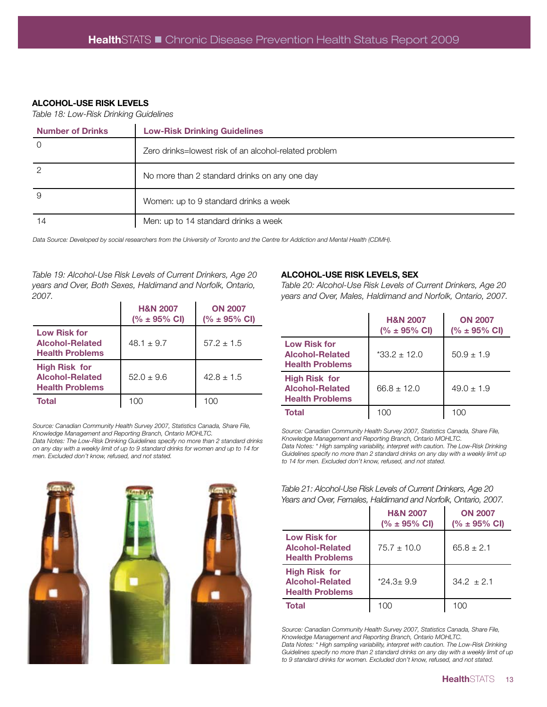#### **ALCOHOL-USE RISK LEVELS**

*Table 18: Low-Risk Drinking Guidelines*

| <b>Number of Drinks</b> | <b>Low-Risk Drinking Guidelines</b>                   |
|-------------------------|-------------------------------------------------------|
|                         | Zero drinks=lowest risk of an alcohol-related problem |
|                         | No more than 2 standard drinks on any one day         |
| 9                       | Women: up to 9 standard drinks a week                 |
| 14                      | Men: up to 14 standard drinks a week                  |

*Data Source: Developed by social researchers from the University of Toronto and the Centre for Addiction and Mental Health (CDMH).*

*Table 19: Alcohol-Use Risk Levels of Current Drinkers, Age 20 years and Over, Both Sexes, Haldimand and Norfolk, Ontario, 2007.*

|                                                                          | <b>H&amp;N 2007</b><br>$(% \pm 95\% \text{ CI})$ | <b>ON 2007</b><br>$(% \pm 95\% \text{ CI})$ |
|--------------------------------------------------------------------------|--------------------------------------------------|---------------------------------------------|
| <b>Low Risk for</b><br>Alcohol-Related<br><b>Health Problems</b>         | $48.1 \pm 9.7$                                   | $57.2 + 1.5$                                |
| <b>High Risk for</b><br><b>Alcohol-Related</b><br><b>Health Problems</b> | $52.0 \pm 9.6$                                   | $42.8 + 1.5$                                |
| Total                                                                    | 100                                              | 100                                         |

*Source: Canadian Community Health Survey 2007, Statistics Canada, Share File, Knowledge Management and Reporting Branch, Ontario MOHLTC. Data Notes: The Low-Risk Drinking Guidelines specify no more than 2 standard drinks on any day with a weekly limit of up to 9 standard drinks for women and up to 14 for men. Excluded don't know, refused, and not stated.* 



#### **ALCOHOL-USE RISK LEVELS, SEX**

*Table 20: Alcohol-Use Risk Levels of Current Drinkers, Age 20 years and Over, Males, Haldimand and Norfolk, Ontario, 2007.*

|                                                                          | <b>H&amp;N 2007</b><br>$(% \pm 95\% \text{ CI})$ | <b>ON 2007</b><br>$(% \pm 95\% \text{ CI})$ |
|--------------------------------------------------------------------------|--------------------------------------------------|---------------------------------------------|
| <b>Low Risk for</b><br>Alcohol-Related<br><b>Health Problems</b>         | $*33.2 + 12.0$                                   | $50.9 \pm 1.9$                              |
| <b>High Risk for</b><br><b>Alcohol-Related</b><br><b>Health Problems</b> | $66.8 + 12.0$                                    | $49.0 \pm 1.9$                              |
| <b>Total</b>                                                             | 100                                              | 100                                         |

*Source: Canadian Community Health Survey 2007, Statistics Canada, Share File, Knowledge Management and Reporting Branch, Ontario MOHLTC. Data Notes: \* High sampling variability, interpret with caution. The Low-Risk Drinking Guidelines specify no more than 2 standard drinks on any day with a weekly limit up to 14 for men. Excluded don't know, refused, and not stated.* 

| Table 21: Alcohol-Use Risk Levels of Current Drinkers, Age 20  |  |
|----------------------------------------------------------------|--|
| Years and Over, Females, Haldimand and Norfolk, Ontario, 2007. |  |

|                                                                          | <b>H&amp;N 2007</b><br>$(% \pm 95\% \text{ CI})$ | <b>ON 2007</b><br>$(% \pm 95\% \text{ Cl})$ |
|--------------------------------------------------------------------------|--------------------------------------------------|---------------------------------------------|
| <b>Low Risk for</b><br><b>Alcohol-Related</b><br><b>Health Problems</b>  | $75.7 \pm 10.0$                                  | $65.8 \pm 2.1$                              |
| <b>High Risk for</b><br><b>Alcohol-Related</b><br><b>Health Problems</b> | $*24.3 \pm 9.9$                                  | $34.2 + 2.1$                                |
| <b>Total</b>                                                             | 100                                              | 100                                         |

*Source: Canadian Community Health Survey 2007, Statistics Canada, Share File, Knowledge Management and Reporting Branch, Ontario MOHLTC. Data Notes: \* High sampling variability, interpret with caution. The Low-Risk Drinking*  Guidelines specify no more than 2 standard drinks on any day with a weekly limit of up *to 9 standard drinks for women. Excluded don't know, refused, and not stated.*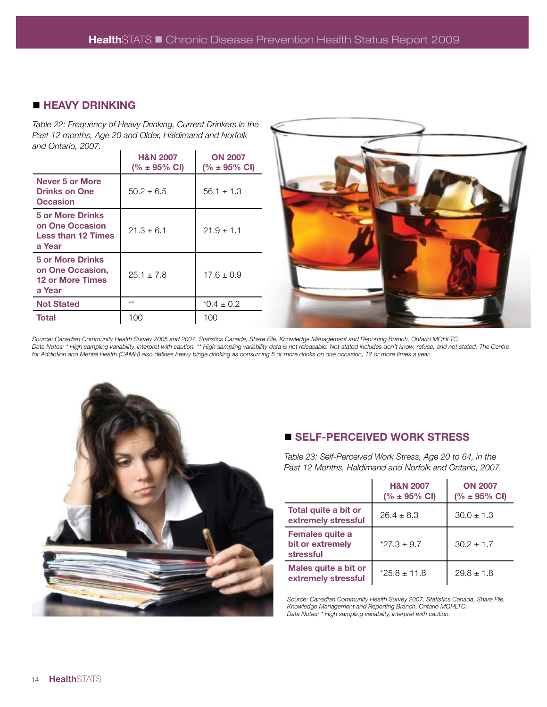# $\blacksquare$  **HEAVY DRINKING**

*Table 22: Frequency of Heavy Drinking, Current Drinkers in the Past 12 months, Age 20 and Older, Haldimand and Norfolk and Ontario, 2007.*

|                                                                                   | <b>H&amp;N 2007</b><br>$(% \pm 95\% \text{ Cl})$ | <b>ON 2007</b><br>$(% \pm 95\% \text{ CI})$ |
|-----------------------------------------------------------------------------------|--------------------------------------------------|---------------------------------------------|
| <b>Never 5 or More</b><br><b>Drinks on One</b><br><b>Occasion</b>                 | $50.2 + 6.5$                                     | $56.1 \pm 1.3$                              |
| <b>5 or More Drinks</b><br>on One Occasion<br><b>Less than 12 Times</b><br>a Year | $21.3 + 6.1$                                     | $21.9 + 1.1$                                |
| <b>5 or More Drinks</b><br>on One Occasion,<br><b>12 or More Times</b><br>a Year  | $25.1 \pm 7.8$                                   | $17.6 \pm 0.9$                              |
| <b>Not Stated</b>                                                                 | $**$                                             | $*0.4 \pm 0.2$                              |
| <b>Total</b>                                                                      | 100                                              | 100                                         |



*Source: Canadian Community Health Survey 2005 and 2007, Statistics Canada, Share File, Knowledge Management and Reporting Branch, Ontario MOHLTC.*  Data Notes: \* High sampling variability, interpret with caution. \*\* High sampling variability data is not releasable. Not stated includes don't know, refuse, and not stated. The Centre *for Addiction and Mental Health (CAMH) also defines heavy binge drinking as consuming 5 or more drinks on one occasion, 12 or more times a year.* 



# n **SELF-PERCEIVED WORK STRESS**

*Table 23: Self-Perceived Work Stress, Age 20 to 64, in the Past 12 Months, Haldimand and Norfolk and Ontario, 2007.*

|                                                         | <b>H&amp;N 2007</b><br>$(% \pm 95\% \text{ Cl})$ | <b>ON 2007</b><br>$(% \pm 95\% \text{ Cl})$ |
|---------------------------------------------------------|--------------------------------------------------|---------------------------------------------|
| Total quite a bit or<br>extremely stressful             | $26.4 \pm 8.3$                                   | $30.0 \pm 1.3$                              |
| <b>Females quite a</b><br>bit or extremely<br>stressful | $*27.3 \pm 9.7$                                  | $30.2 \pm 1.7$                              |
| Males quite a bit or<br>extremely stressful             | $*25.8 \pm 11.8$                                 | $29.8 \pm 1.8$                              |

*Source: Canadian Community Health Survey 2007, Statistics Canada, Share File, Knowledge Management and Reporting Branch, Ontario MOHLTC. Data Notes: \* High sampling variability, interpret with caution.*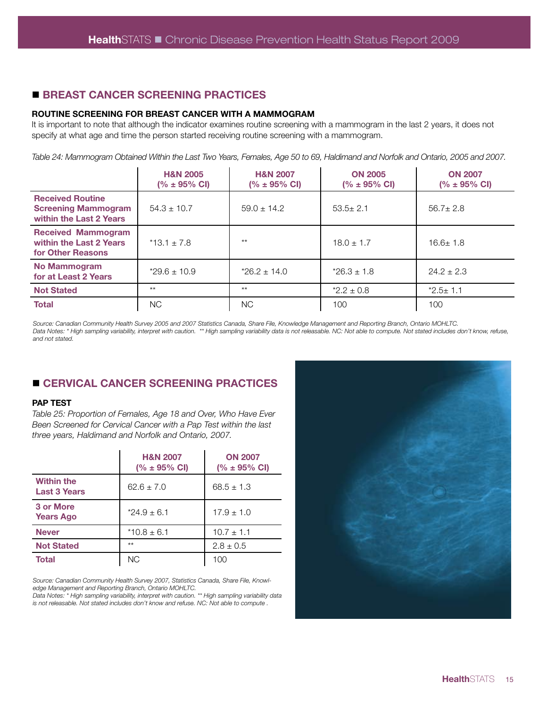# n **BREAST CANCER SCREENING PRACTICES**

#### **ROUTINE SCREENING FOR BREAST CANCER WITH A MAMMOGRAM**

It is important to note that although the indicator examines routine screening with a mammogram in the last 2 years, it does not specify at what age and time the person started receiving routine screening with a mammogram.

*Table 24: Mammogram Obtained Within the Last Two Years, Females, Age 50 to 69, Haldimand and Norfolk and Ontario, 2005 and 2007.* 

|                                                                                  | <b>H&amp;N 2005</b><br>$(% \pm 95\% \text{ Cl})$ | <b>H&amp;N 2007</b><br>$(% \pm 95\% \text{ CI})$ | <b>ON 2005</b><br>$(% \pm 95\% \text{ Cl})$ | <b>ON 2007</b><br>$(% \pm 95\% \text{ CI})$ |
|----------------------------------------------------------------------------------|--------------------------------------------------|--------------------------------------------------|---------------------------------------------|---------------------------------------------|
| <b>Received Routine</b><br><b>Screening Mammogram</b><br>within the Last 2 Years | $54.3 \pm 10.7$                                  | $59.0 \pm 14.2$                                  | $53.5 \pm 2.1$                              | $56.7 \pm 2.8$                              |
| <b>Received Mammogram</b><br>within the Last 2 Years<br>for Other Reasons        | $*13.1 \pm 7.8$                                  | $**$                                             | $18.0 \pm 1.7$                              | $16.6 \pm 1.8$                              |
| No Mammogram<br>for at Least 2 Years                                             | $*29.6 \pm 10.9$                                 | $*26.2 \pm 14.0$                                 | $*26.3 \pm 1.8$                             | $24.2 \pm 2.3$                              |
| <b>Not Stated</b>                                                                | $**$                                             | $**$                                             | $*2.2 \pm 0.8$                              | $*2.5 \pm 1.1$                              |
| <b>Total</b>                                                                     | ΝC                                               | <b>NC</b>                                        | 100                                         | 100                                         |

*Source: Canadian Community Health Survey 2005 and 2007 Statistics Canada, Share File, Knowledge Management and Reporting Branch, Ontario MOHLTC.*  Data Notes: \* High sampling variability, interpret with caution. \*\* High sampling variability data is not releasable. NC: Not able to compute. Not stated includes don't know, refuse, *and not stated.* 

# n **CERVICAL CANCER SCREENING PRACTICES**

#### **PAP TEST**

*Table 25: Proportion of Females, Age 18 and Over, Who Have Ever Been Screened for Cervical Cancer with a Pap Test within the last three years, Haldimand and Norfolk and Ontario, 2007.*

|                                          | <b>H&amp;N 2007</b><br>$(% \pm 95\% \text{ CI})$ | <b>ON 2007</b><br>$(% \pm 95\% \text{ CI})$ |
|------------------------------------------|--------------------------------------------------|---------------------------------------------|
| <b>Within the</b><br><b>Last 3 Years</b> | $62.6 \pm 7.0$                                   | $68.5 \pm 1.3$                              |
| 3 or More<br><b>Years Ago</b>            | $*24.9 \pm 6.1$                                  | $17.9 \pm 1.0$                              |
| <b>Never</b>                             | $*10.8 \pm 6.1$                                  | $10.7 \pm 1.1$                              |
| <b>Not Stated</b>                        | $**$                                             | $2.8 \pm 0.5$                               |
| Total                                    | <b>NC</b>                                        | 100                                         |

*Source: Canadian Community Health Survey 2007, Statistics Canada, Share File, Knowledge Management and Reporting Branch, Ontario MOHLTC.*

*Data Notes: \* High sampling variability, interpret with caution. \*\* High sampling variability data is not releasable. Not stated includes don't know and refuse. NC: Not able to compute .*

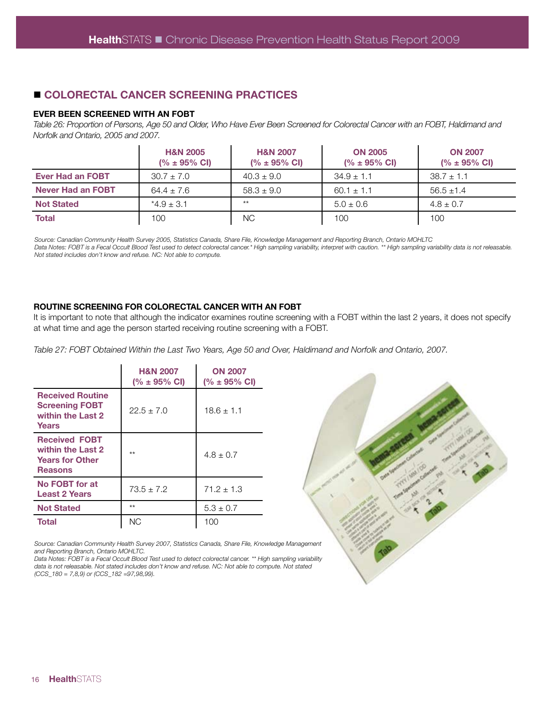# n **COLORECTAL CANCER SCREENING PRACTICES**

#### **EVER BEEN SCREENED WITH AN FOBT**

*Table 26: Proportion of Persons, Age 50 and Older, Who Have Ever Been Screened for Colorectal Cancer with an FOBT, Haldimand and Norfolk and Ontario, 2005 and 2007.*

|                          | <b>H&amp;N 2005</b><br>$(% \pm 95\% \text{ Cl})$ | <b>H&amp;N 2007</b><br>$(% \pm 95\% \text{ CI})$ | <b>ON 2005</b><br>$(% \pm 95\% \text{ CI})$ | <b>ON 2007</b><br>$(% \pm 95\% \text{ CI})$ |
|--------------------------|--------------------------------------------------|--------------------------------------------------|---------------------------------------------|---------------------------------------------|
| <b>Ever Had an FOBT</b>  | $30.7 \pm 7.0$                                   | $40.3 \pm 9.0$                                   | $34.9 \pm 1.1$                              | $38.7 \pm 1.1$                              |
| <b>Never Had an FOBT</b> | $64.4 \pm 7.6$                                   | $58.3 \pm 9.0$                                   | $60.1 \pm 1.1$                              | $56.5 \pm 1.4$                              |
| <b>Not Stated</b>        | $*4.9 \pm 3.1$                                   | $**$                                             | $5.0 \pm 0.6$                               | $4.8 \pm 0.7$                               |
| <b>Total</b>             | 100                                              | <b>NC</b>                                        | 100                                         | 100                                         |

*Source: Canadian Community Health Survey 2005, Statistics Canada, Share File, Knowledge Management and Reporting Branch, Ontario MOHLTC* Data Notes: FOBT is a Fecal Occult Blood Test used to detect colorectal cancer.\* High sampling variability, interpret with caution. \*\* High sampling variability data is not releasable. *Not stated includes don't know and refuse. NC: Not able to compute.*

#### **ROUTINE SCREENING FOR COLORECTAL CANCER WITH AN FOBT**

It is important to note that although the indicator examines routine screening with a FOBT within the last 2 years, it does not specify at what time and age the person started receiving routine screening with a FOBT.

*Table 27: FOBT Obtained Within the Last Two Years, Age 50 and Over, Haldimand and Norfolk and Ontario, 2007.* 

|                                                                                       | <b>H&amp;N 2007</b><br>$(% \pm 95\% \text{ Cl})$ | <b>ON 2007</b><br>$(% \pm 95\% \text{ Cl})$ |
|---------------------------------------------------------------------------------------|--------------------------------------------------|---------------------------------------------|
| <b>Received Routine</b><br><b>Screening FOBT</b><br>within the Last 2<br>Years        | $22.5 + 7.0$                                     | $18.6 \pm 1.1$                              |
| <b>Received FOBT</b><br>within the Last 2<br><b>Years for Other</b><br><b>Reasons</b> | $**$                                             | $4.8 + 0.7$                                 |
| No FOBT for at<br><b>Least 2 Years</b>                                                | $73.5 + 7.2$                                     | $71.2 + 1.3$                                |
| <b>Not Stated</b>                                                                     | $**$                                             | $5.3 \pm 0.7$                               |
| <b>Total</b>                                                                          | <b>NC</b>                                        | 100                                         |

*Source: Canadian Community Health Survey 2007, Statistics Canada, Share File, Knowledge Management and Reporting Branch, Ontario MOHLTC.*

*Data Notes: FOBT is a Fecal Occult Blood Test used to detect colorectal cancer. \*\* High sampling variability*  data is not releasable. Not stated includes don't know and refuse. NC: Not able to compute. Not stated *(CCS\_180 = 7,8,9) or (CCS\_182 =97,98,99).*

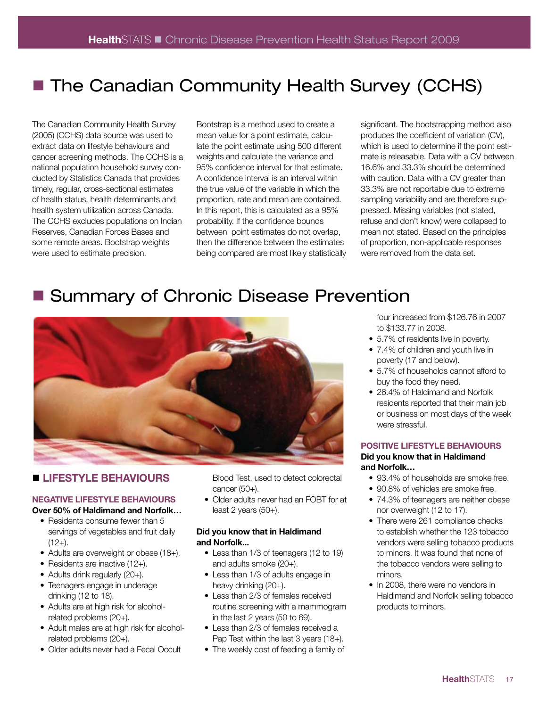# ■ The Canadian Community Health Survey (CCHS)

The Canadian Community Health Survey (2005) (CCHS) data source was used to extract data on lifestyle behaviours and cancer screening methods. The CCHS is a national population household survey conducted by Statistics Canada that provides timely, regular, cross-sectional estimates of health status, health determinants and health system utilization across Canada. The CCHS excludes populations on Indian Reserves, Canadian Forces Bases and some remote areas. Bootstrap weights were used to estimate precision.

Bootstrap is a method used to create a mean value for a point estimate, calculate the point estimate using 500 different weights and calculate the variance and 95% confidence interval for that estimate. A confidence interval is an interval within the true value of the variable in which the proportion, rate and mean are contained. In this report, this is calculated as a 95% probability. If the confidence bounds between point estimates do not overlap, then the difference between the estimates being compared are most likely statistically significant. The bootstrapping method also produces the coefficient of variation (CV), which is used to determine if the point estimate is releasable. Data with a CV between 16.6% and 33.3% should be determined with caution. Data with a CV greater than 33.3% are not reportable due to extreme sampling variability and are therefore suppressed. Missing variables (not stated, refuse and don't know) were collapsed to mean not stated. Based on the principles of proportion, non-applicable responses were removed from the data set.

# **E** Summary of Chronic Disease Prevention



# **I LIFESTYLE BEHAVIOURS**

#### **NEGATIVE LIFESTYLE BEHAVIOURS Over 50% of Haldimand and Norfolk…**

- Residents consume fewer than 5
- servings of vegetables and fruit daily  $(12+)$ .
- Adults are overweight or obese (18+).
- Residents are inactive (12+).
- Adults drink regularly (20+).
- Teenagers engage in underage drinking (12 to 18).
- Adults are at high risk for alcoholrelated problems (20+).
- Adult males are at high risk for alcoholrelated problems (20+).
- Older adults never had a Fecal Occult

Blood Test, used to detect colorectal cancer (50+).

• Older adults never had an FOBT for at least 2 years (50+).

#### **Did you know that in Haldimand and Norfolk...**

- Less than 1/3 of teenagers (12 to 19) and adults smoke (20+).
- Less than 1/3 of adults engage in heavy drinking (20+).
- Less than 2/3 of females received routine screening with a mammogram in the last 2 years (50 to 69).
- Less than 2/3 of females received a Pap Test within the last 3 years (18+).
- The weekly cost of feeding a family of

four increased from \$126.76 in 2007 to \$133.77 in 2008.

- 5.7% of residents live in poverty.
- 7.4% of children and youth live in poverty (17 and below).
- 5.7% of households cannot afford to buy the food they need.
- 26.4% of Haldimand and Norfolk residents reported that their main job or business on most days of the week were stressful.

#### **POSITIVE LIFESTYLE BEHAVIOURS**

#### **Did you know that in Haldimand and Norfolk…**

- 93.4% of households are smoke free.
- 90.8% of vehicles are smoke free.
- 74.3% of teenagers are neither obese nor overweight (12 to 17).
- There were 261 compliance checks to establish whether the 123 tobacco vendors were selling tobacco products to minors. It was found that none of the tobacco vendors were selling to minors.
- In 2008, there were no vendors in Haldimand and Norfolk selling tobacco products to minors.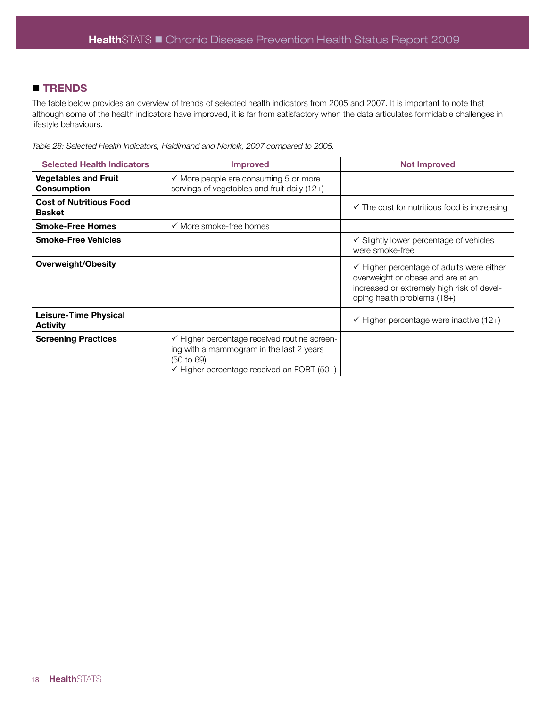# **n** TRENDS

The table below provides an overview of trends of selected health indicators from 2005 and 2007. It is important to note that although some of the health indicators have improved, it is far from satisfactory when the data articulates formidable challenges in lifestyle behaviours.

*Table 28: Selected Health Indicators, Haldimand and Norfolk, 2007 compared to 2005.* 

| <b>Selected Health Indicators</b>               | <b>Improved</b>                                                                                                                                                 | <b>Not Improved</b>                                                                                                                                                    |
|-------------------------------------------------|-----------------------------------------------------------------------------------------------------------------------------------------------------------------|------------------------------------------------------------------------------------------------------------------------------------------------------------------------|
| <b>Vegetables and Fruit</b><br>Consumption      | $\checkmark$ More people are consuming 5 or more<br>servings of vegetables and fruit daily (12+)                                                                |                                                                                                                                                                        |
| <b>Cost of Nutritious Food</b><br><b>Basket</b> |                                                                                                                                                                 | $\checkmark$ The cost for nutritious food is increasing                                                                                                                |
| <b>Smoke-Free Homes</b>                         | $\checkmark$ More smoke-free homes                                                                                                                              |                                                                                                                                                                        |
| <b>Smoke-Free Vehicles</b>                      |                                                                                                                                                                 | $\checkmark$ Slightly lower percentage of vehicles<br>were smoke-free                                                                                                  |
| <b>Overweight/Obesity</b>                       |                                                                                                                                                                 | $\checkmark$ Higher percentage of adults were either<br>overweight or obese and are at an<br>increased or extremely high risk of devel-<br>oping health problems (18+) |
| Leisure-Time Physical<br><b>Activity</b>        |                                                                                                                                                                 | $\checkmark$ Higher percentage were inactive (12+)                                                                                                                     |
| <b>Screening Practices</b>                      | ← Higher percentage received routine screen-<br>ing with a mammogram in the last 2 years<br>(50 to 69)<br>$\checkmark$ Higher percentage received an FOBT (50+) |                                                                                                                                                                        |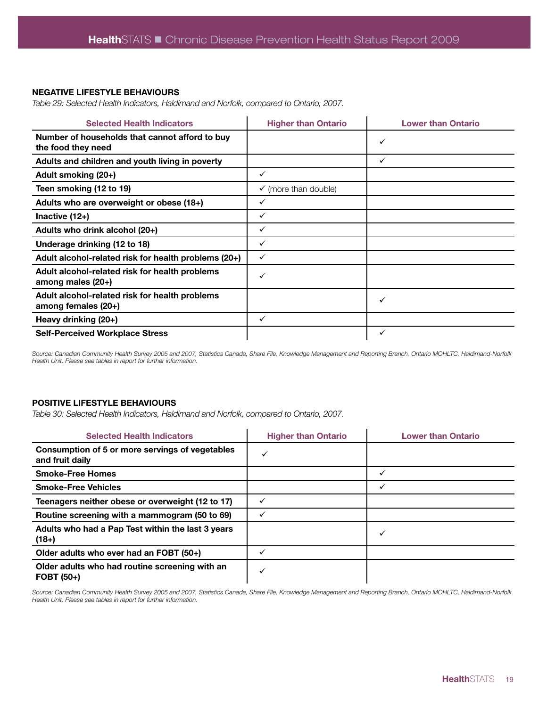#### **NEGATIVE LIFESTYLE BEHAVIOURS**

*Table 29: Selected Health Indicators, Haldimand and Norfolk, compared to Ontario, 2007.*

| <b>Selected Health Indicators</b>                                     | <b>Higher than Ontario</b>      | <b>Lower than Ontario</b> |
|-----------------------------------------------------------------------|---------------------------------|---------------------------|
| Number of households that cannot afford to buy<br>the food they need  |                                 | ✓                         |
| Adults and children and youth living in poverty                       |                                 | ✓                         |
| Adult smoking (20+)                                                   | $\checkmark$                    |                           |
| Teen smoking (12 to 19)                                               | $\checkmark$ (more than double) |                           |
| Adults who are overweight or obese (18+)                              | ✓                               |                           |
| Inactive $(12+)$                                                      | ✓                               |                           |
| Adults who drink alcohol (20+)                                        | ✓                               |                           |
| Underage drinking (12 to 18)                                          | ✓                               |                           |
| Adult alcohol-related risk for health problems (20+)                  | $\checkmark$                    |                           |
| Adult alcohol-related risk for health problems<br>among males (20+)   | ✓                               |                           |
| Adult alcohol-related risk for health problems<br>among females (20+) |                                 | ✓                         |
| Heavy drinking (20+)                                                  | ✓                               |                           |
| <b>Self-Perceived Workplace Stress</b>                                |                                 | ✓                         |

*Source: Canadian Community Health Survey 2005 and 2007, Statistics Canada, Share File, Knowledge Management and Reporting Branch, Ontario MOHLTC, Haldimand-Norfolk Health Unit. Please see tables in report for further information.* 

#### **POSITIVE LIFESTYLE BEHAVIOURS**

*Table 30: Selected Health Indicators, Haldimand and Norfolk, compared to Ontario, 2007.* 

| <b>Selected Health Indicators</b>                                  | <b>Higher than Ontario</b> | <b>Lower than Ontario</b> |
|--------------------------------------------------------------------|----------------------------|---------------------------|
| Consumption of 5 or more servings of vegetables<br>and fruit daily |                            |                           |
| <b>Smoke-Free Homes</b>                                            |                            | ✓                         |
| <b>Smoke-Free Vehicles</b>                                         |                            |                           |
| Teenagers neither obese or overweight (12 to 17)                   |                            |                           |
| Routine screening with a mammogram (50 to 69)                      |                            |                           |
| Adults who had a Pap Test within the last 3 years<br>$(18+)$       |                            | ✓                         |
| Older adults who ever had an FOBT (50+)                            |                            |                           |
| Older adults who had routine screening with an<br>$FOBT(50+)$      |                            |                           |

*Source: Canadian Community Health Survey 2005 and 2007, Statistics Canada, Share File, Knowledge Management and Reporting Branch, Ontario MOHLTC, Haldimand-Norfolk Health Unit. Please see tables in report for further information.*